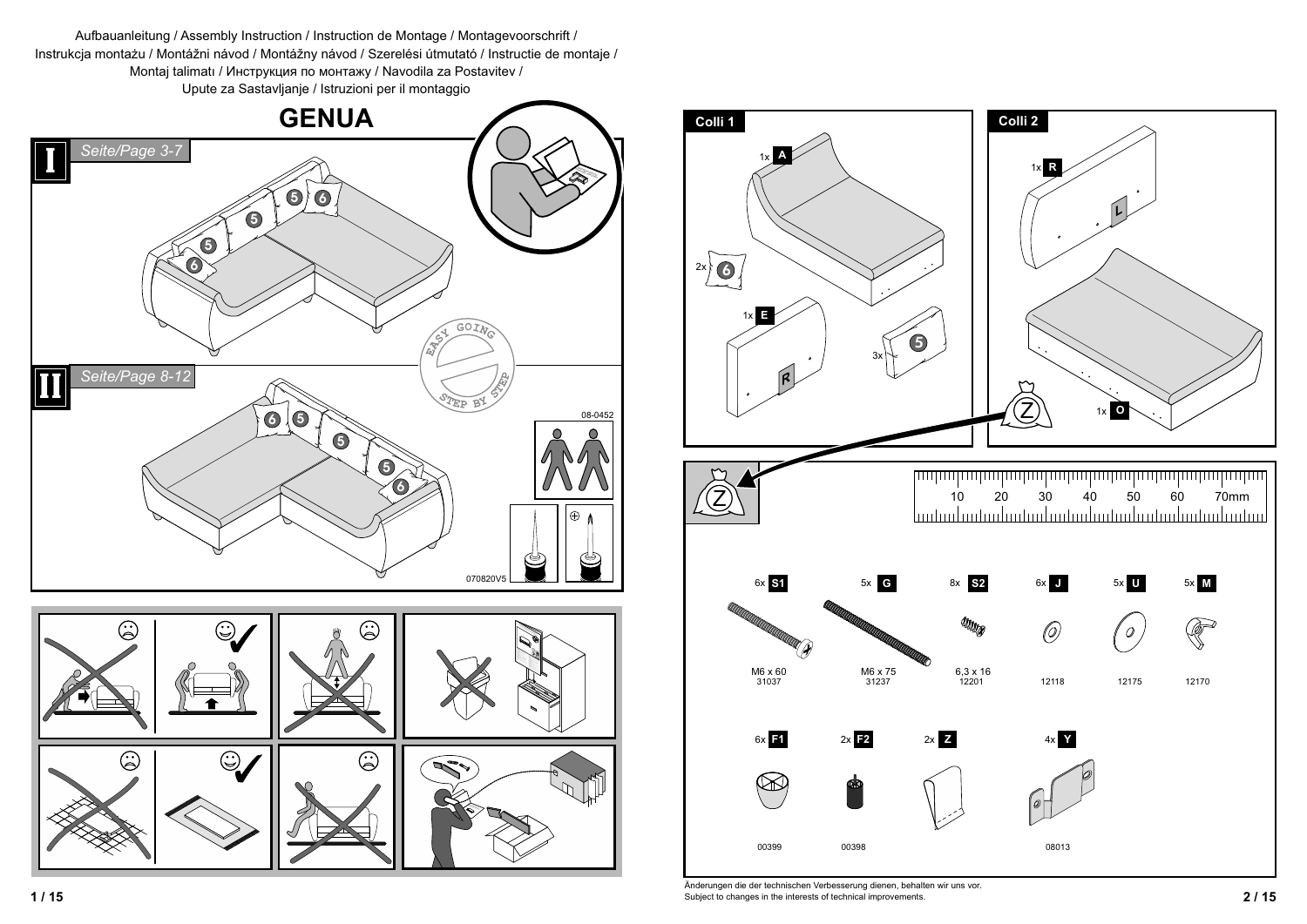





 **2 / 15** Subject to changes in the interests of technical improvements. Änderungen die der technischen Verbesserung dienen, behalten wir uns vor.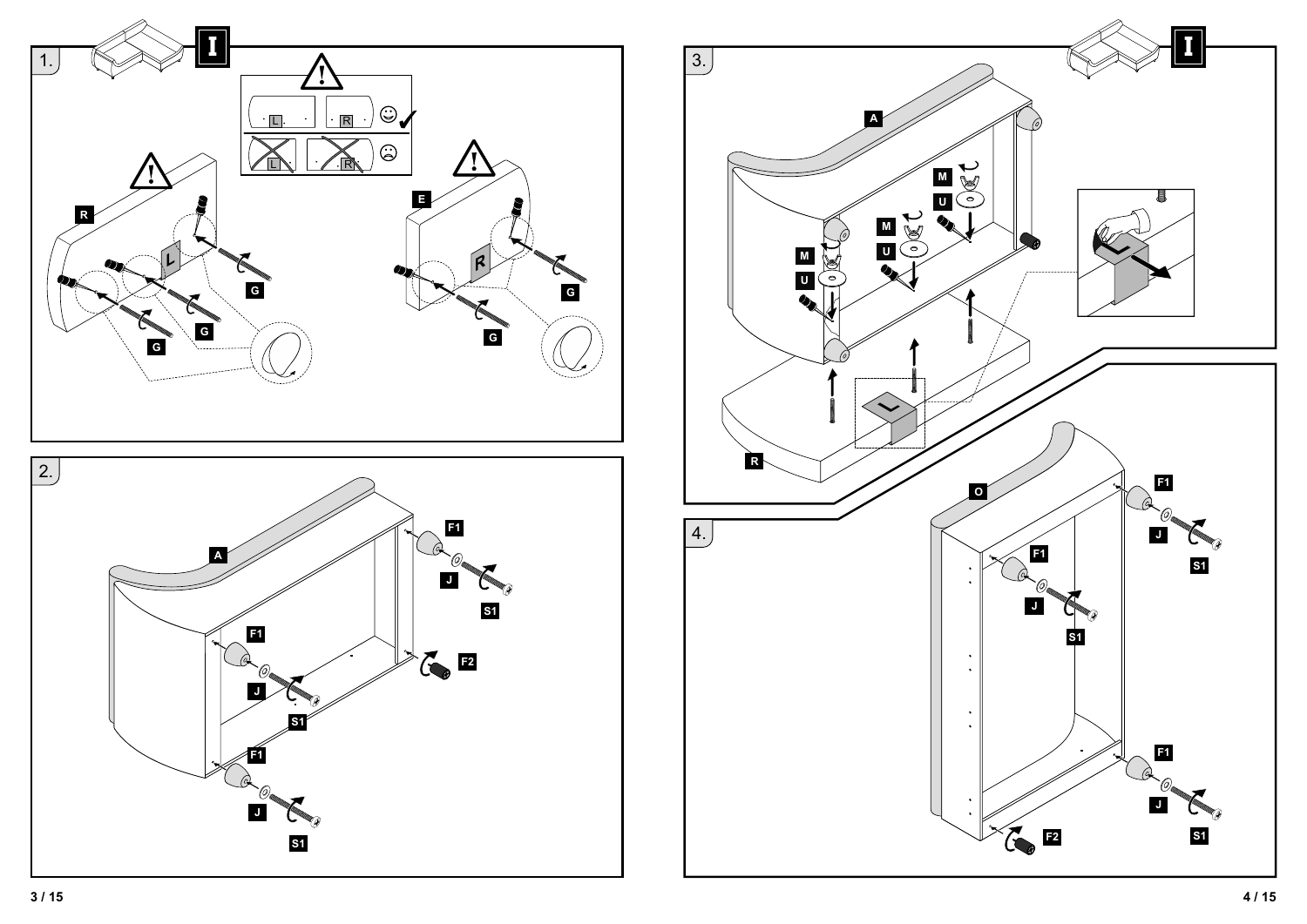

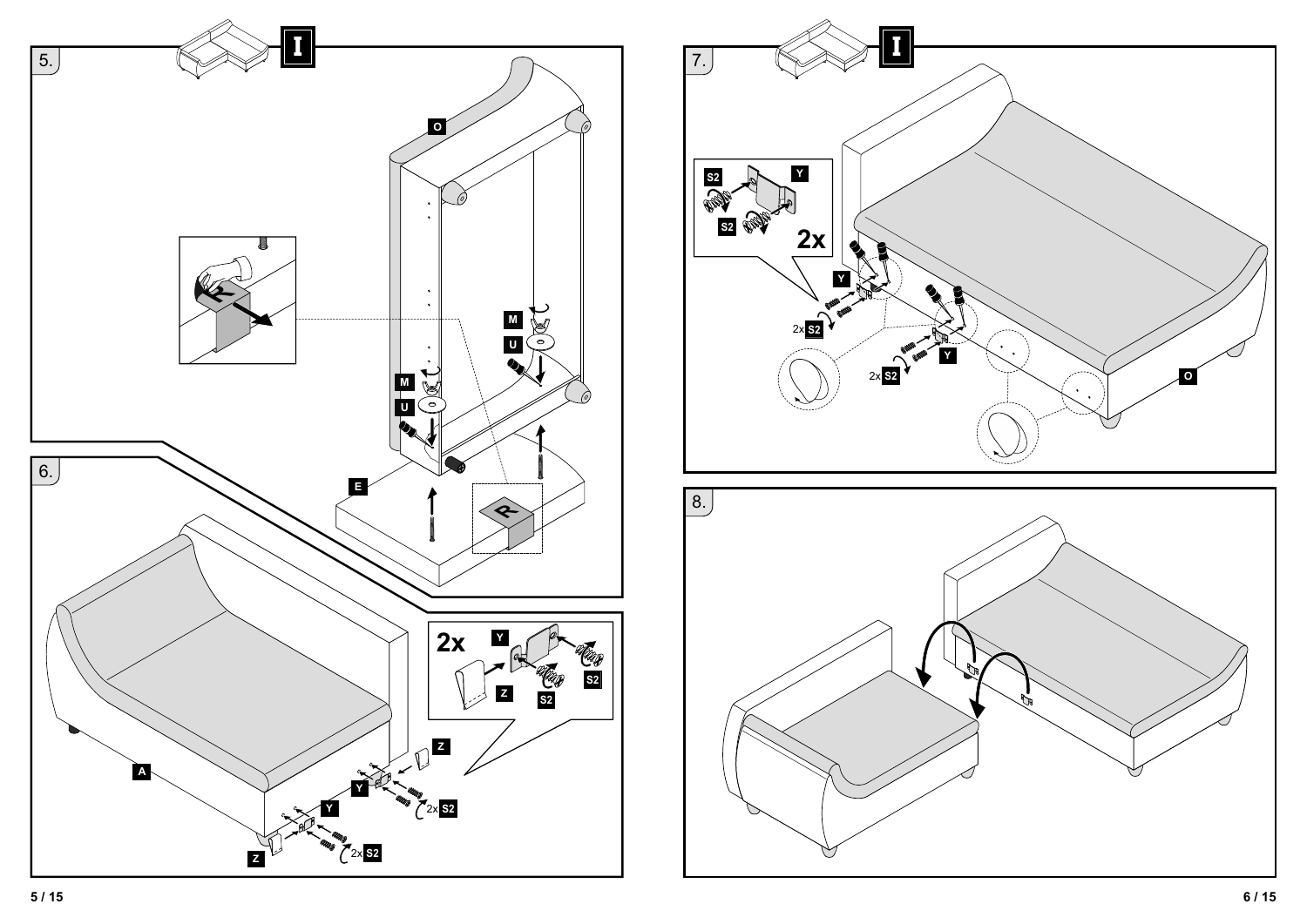

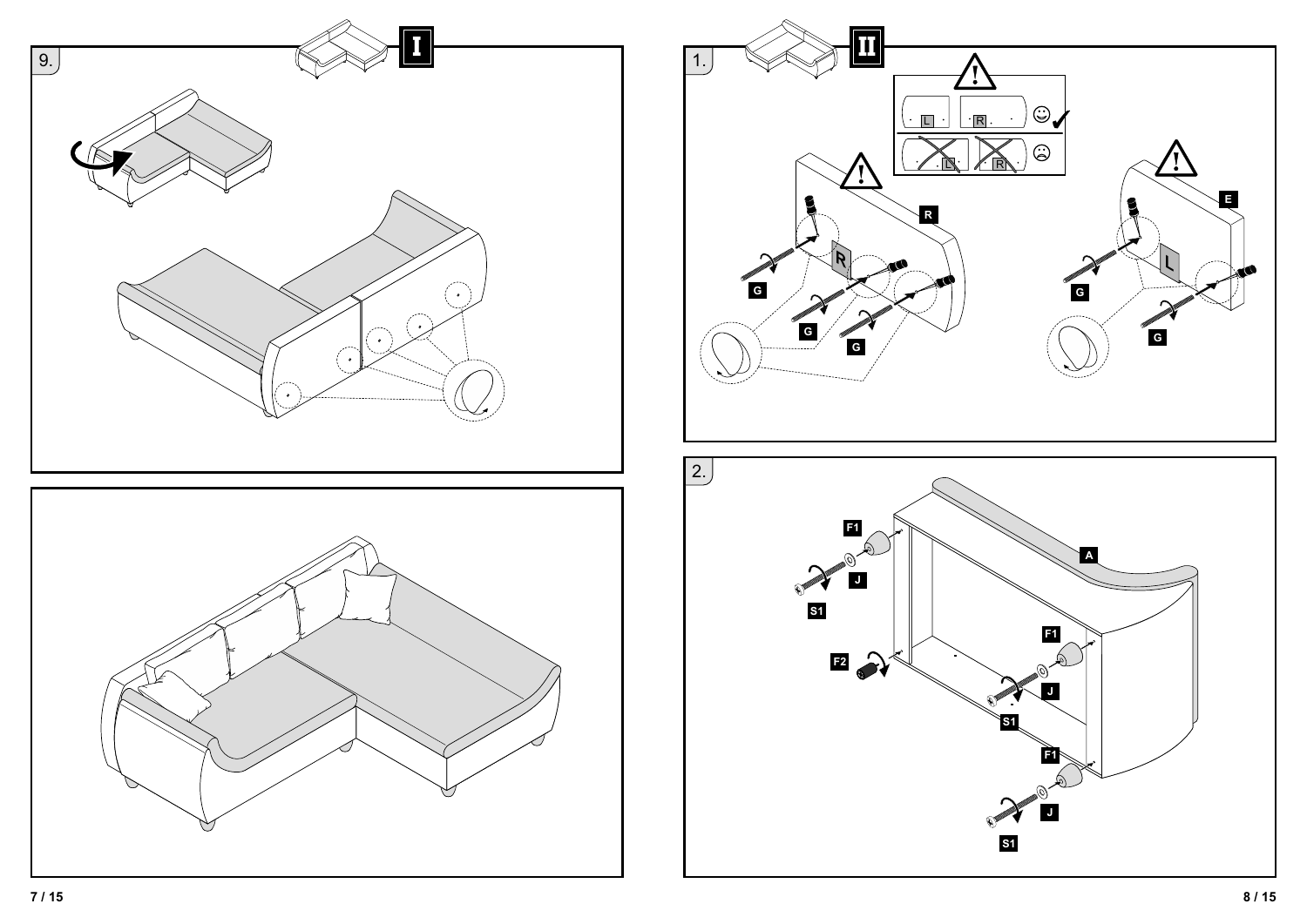

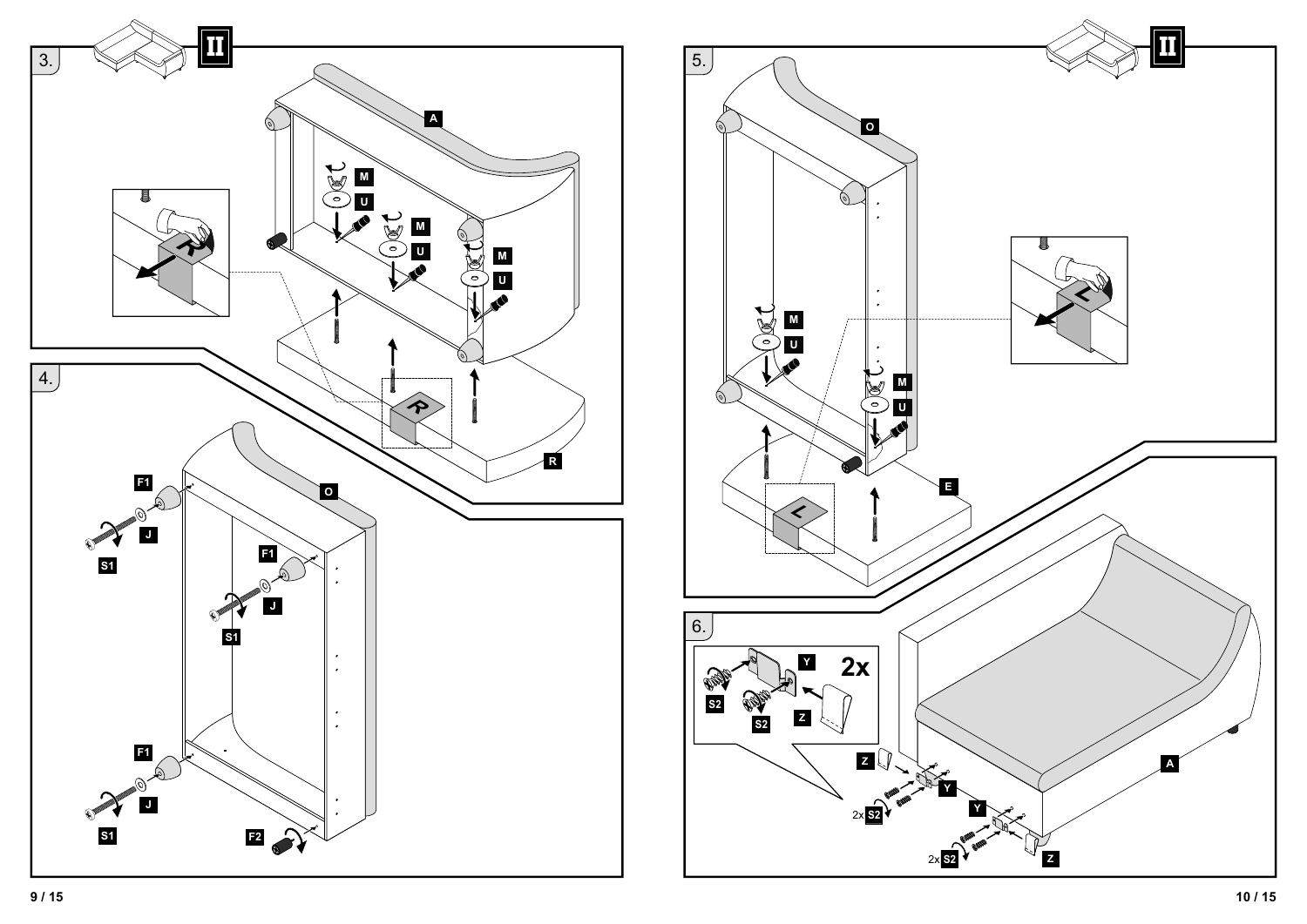

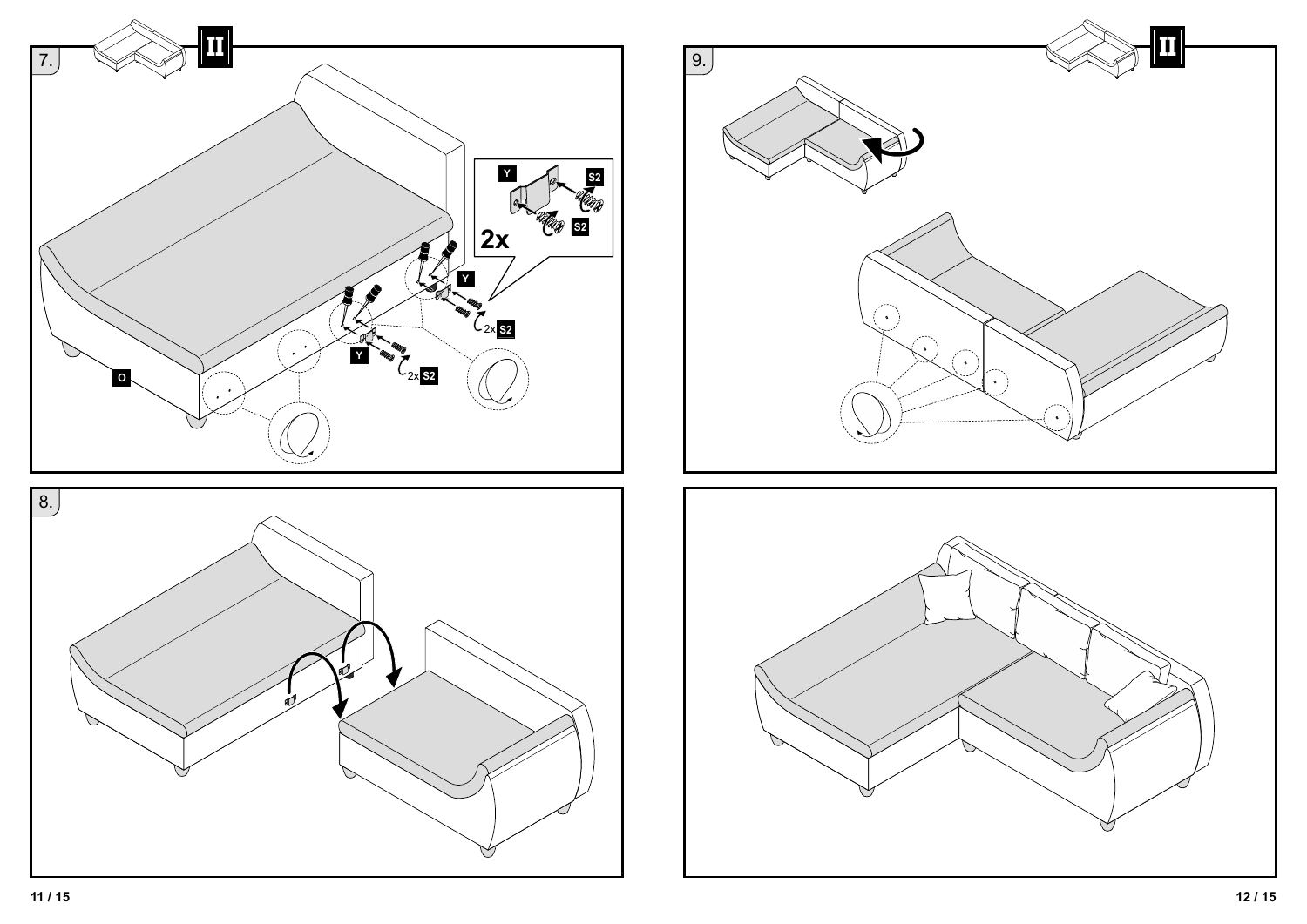



![](_page_5_Figure_2.jpeg)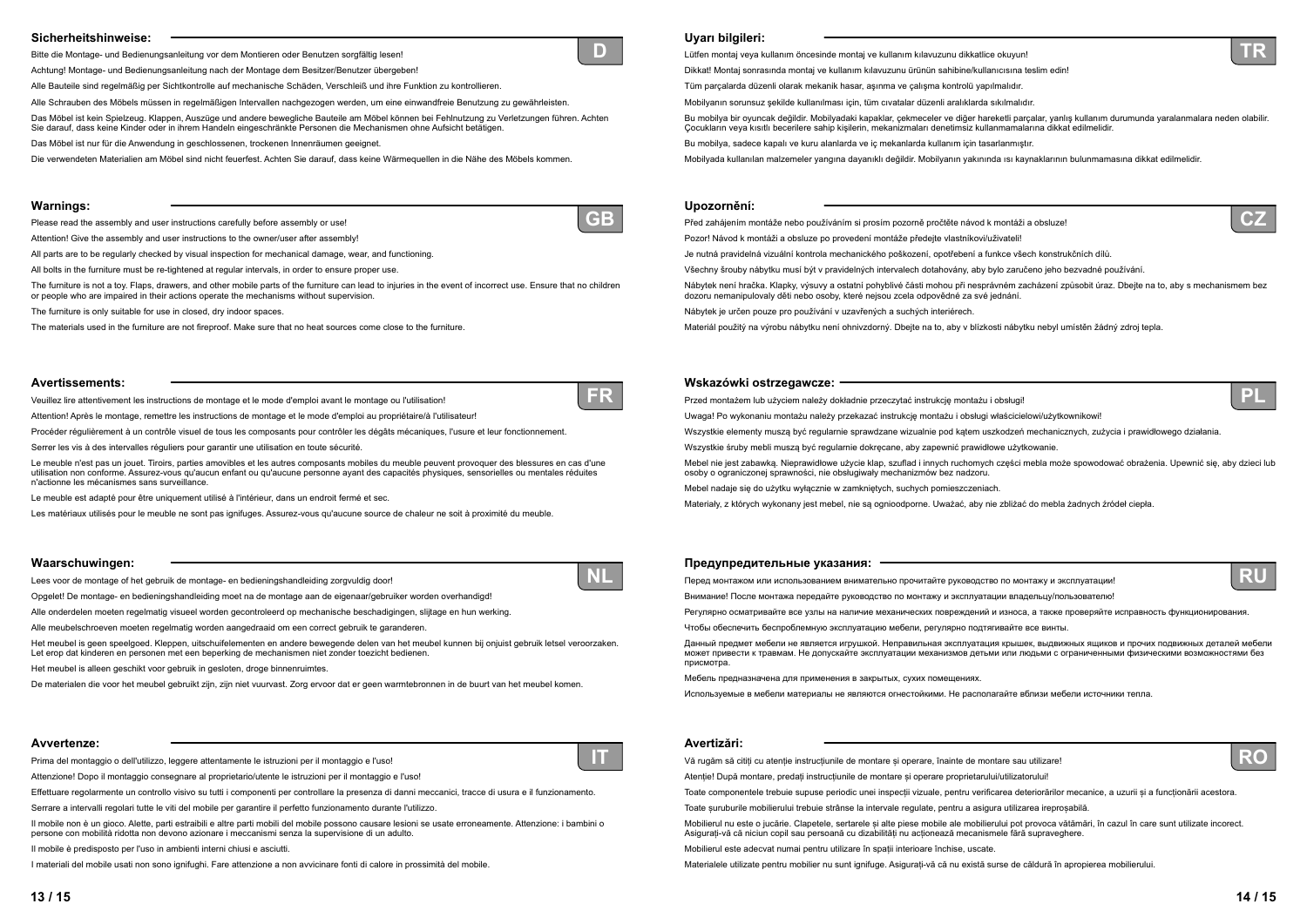# **Sicherheitshinweise:**

Bitte die Montage- und Bedienungsanleitung vor dem Montieren oder Benutzen sorgfältig lesen!

Achtung! Montage- und Bedienungsanleitung nach der Montage dem Besitzer/Benutzer übergeben!

Alle Bauteile sind regelmäßig per Sichtkontrolle auf mechanische Schäden, Verschleiß und ihre Funktion zu kontrollieren.

Alle Schrauben des Möbels müssen in regelmäßigen Intervallen nachgezogen werden, um eine einwandfreie Benutzung zu gewährleisten.

Das Möbel ist kein Spielzeug. Klappen, Auszüge und andere bewegliche Bauteile am Möbel können bei Fehlnutzung zu Verletzungen führen. Achten Sie darauf, dass keine Kinder oder in ihrem Handeln eingeschränkte Personen die Mechanismen ohne Aufsicht betätigen.

Das Möbel ist nur für die Anwendung in geschlossenen, trockenen Innenräumen geeignet.

Die verwendeten Materialien am Möbel sind nicht feuerfest. Achten Sie darauf, dass keine Wärmequellen in die Nähe des Möbels kommen.

# **Avvertenze:**

Prima del montaggio o dell'utilizzo, leggere attentamente le istruzioni per il montaggio e l'uso!

Attenzione! Dopo il montaggio consegnare al proprietario/utente le istruzioni per il montaggio e l'uso!

Effettuare regolarmente un controllo visivo su tutti i componenti per controllare la presenza di danni meccanici, tracce di usura e il funzionamento.

Serrare a intervalli regolari tutte le viti del mobile per garantire il perfetto funzionamento durante l'utilizzo.

Il mobile non è un gioco. Alette, parti estraibili e altre parti mobili del mobile possono causare lesioni se usate erroneamente. Attenzione: i bambini o persone con mobilità ridotta non devono azionare i meccanismi senza la supervisione di un adulto.

Il mobile è predisposto per l'uso in ambienti interni chiusi e asciutti.

I materiali del mobile usati non sono ignifughi. Fare attenzione a non avvicinare fonti di calore in prossimità del mobile.

#### **Warnings:**

Please read the assembly and user instructions carefully before assembly or use!

Attention! Give the assembly and user instructions to the owner/user after assembly!

All parts are to be regularly checked by visual inspection for mechanical damage, wear, and functioning.

All bolts in the furniture must be re-tightened at regular intervals, in order to ensure proper use.

The furniture is not a toy. Flaps, drawers, and other mobile parts of the furniture can lead to injuries in the event of incorrect use. Ensure that no children or people who are impaired in their actions operate the mechanisms without supervision.

The furniture is only suitable for use in closed, dry indoor spaces.

The materials used in the furniture are not fireproof. Make sure that no heat sources come close to the furniture.

### **Avertissements:**

Veuillez lire attentivement les instructions de montage et le mode d'emploi avant le montage ou l'utilisation!

Attention! Après le montage, remettre les instructions de montage et le mode d'emploi au propriétaire/à l'utilisateur!

Procéder régulièrement à un contrôle visuel de tous les composants pour contrôler les dégâts mécaniques, l'usure et leur fonctionnement.

Serrer les vis à des intervalles réguliers pour garantir une utilisation en toute sécurité.

Le meuble n'est pas un jouet. Tiroirs, parties amovibles et les autres composants mobiles du meuble peuvent provoquer des blessures en cas d'une utilisation non conforme. Assurez-vous qu'aucun enfant ou qu'aucune personne ayant des capacités physiques, sensorielles ou mentales réduites n'actionne les mécanismes sans surveillance.

Le meuble est adapté pour être uniquement utilisé à l'intérieur, dans un endroit fermé et sec.

Les matériaux utilisés pour le meuble ne sont pas ignifuges. Assurez-vous qu'aucune source de chaleur ne soit à proximité du meuble.

# **Waarschuwingen:**

Lees voor de montage of het gebruik de montage- en bedieningshandleiding zorgvuldig door!

Opgelet! De montage- en bedieningshandleiding moet na de montage aan de eigenaar/gebruiker worden overhandigd!

Alle onderdelen moeten regelmatig visueel worden gecontroleerd op mechanische beschadigingen, slijtage en hun werking.

Alle meubelschroeven moeten regelmatig worden aangedraaid om een correct gebruik te garanderen.

Het meubel is geen speelgoed. Kleppen, uitschuifelementen en andere bewegende delen van het meubel kunnen bij onjuist gebruik letsel veroorzaken. Let erop dat kinderen en personen met een beperking de mechanismen niet zonder toezicht bedienen.

Het meubel is alleen geschikt voor gebruik in gesloten, droge binnenruimtes.

Vă rugăm să citiți cu atenție instrucțiunile de montare și operare, înainte de montare sau utilizare! Atentie! După montare, predati instructiunile de montare și operare proprietarului/utilizatorului! Toate componentele trebuie supuse periodic unei inspecii vizuale, pentru verificarea deteriorărilor mecanice, a uzurii și a funcionării acestora. Toate șuruburile mobilierului trebuie strânse la intervale regulate, pentru a asigura utilizarea ireproșabilă. Mobilierul nu este o jucărie. Clapetele, sertarele și alte piese mobile ale mobilierului pot provoca vătămări, în cazul în care sunt utilizate incorect. Asigurai-vă că niciun copil sau persoană cu dizabilităi nu acionează mecanismele fără supraveghere. Mobilierul este adecvat numai pentru utilizare în spaii interioare închise, uscate. Materialele utilizate pentru mobilier nu sunt ignifuge. Asigurai-vă că nu există surse de căldură în apropierea mobilierului.

De materialen die voor het meubel gebruikt zijn, zijn niet vuurvast. Zorg ervoor dat er geen warmtebronnen in de buurt van het meubel komen.

**D**

**IT**

![](_page_6_Picture_44.jpeg)

![](_page_6_Picture_58.jpeg)

**NL**

# **Uyarı bilgileri:**

Lütfen montaj veya kullanım öncesinde montaj ve kullanım kılavuzunu dikkatlice okuyun! Dikkat! Montaj sonrasında montaj ve kullanım kılavuzunu ürünün sahibine/kullanıcısına teslim edin! Tüm parçalarda düzenl'olarak mekan'k hasar, aşınma ve çalışma kontrolü yapılmalıdır. Mobilyanın sorunsuz şekilde kullanılması için, tüm cıvatalar düzenli aralıklarda sıkılmalıdır. Bu mobilya bir oyuncak değildir. Mobilyadaki kapaklar, çekmeceler ve diğer hareketli parçalar, yanlış kullanım durumunda yaralanmalara neden olabilir. Cocukların veya kısıtlı becerilere sahip kişilerin, mekanizmaları denetimsiz kullanmamalarına dikkat edilmelidir. Bu mobilya, sadece kapalı ve kuru alanlarda ve iç mekanlarda kullanım için tasarlanmıştır. Mobilyada kullanılan malzemeler yangına dayanıklı değildir. Mobilyanın yakınında ısı kaynaklarının bulunmamasına dikkat edilmelidir.

# **Upozornění:**

Před zahájením montáže nebo používáním si prosím pozorně pročtěte návod k montáži a obsluze! Pozor! Návod k montáži a obsluze po provedení montáže předejte vlastníkovi/uživateli! Je nutná pravidelná vizuální kontrola mechanického poškození, opotřebení a funkce všech konstrukčních dílů. Všechny šrouby nábytku musí být v pravidelných intervalech dotahovány, aby bylo zaručeno jeho bezvadné používání. Nábytek není hračka. Klapky, výsuvy a ostatní pohyblivé části mohou při nesprávném zacházení způsobit úraz. Dbejte na to, aby s mechanismem bez dozoru nemanipulovaly děti nebo osoby, které nejsou zcela odpovědné za své jednání. Nábytek je určen pouze pro používání v uzavřených a suchých interiérech.

#### **Wskazówki ostrzegawcze:**

Przed montażem lub użyciem należy dokładnie przeczytać instrukcję montażu i obsługi! Uwaga! Po wykonaniu montażu należy przekazać instrukcję montażu i obsługi właścicielowi/użytkownikowi! Wszystkie elementy muszą być regularnie sprawdzane wizualnie pod kątem uszkodzeń mechanicznych, zużycia i prawidłowego działania. Wszystkie śruby mebli muszą być regularnie dokręcane, aby zapewnić prawidłowe użytkowanie. Mebel nie jest zabawką. Nieprawidłowe użycie klap, szuflad i innych ruchomych części mebla może spowodować obrażenia. Upewnić się, aby dzieci lub osoby o ograniczonej sprawności, nie obsługiwały mechanizmów bez nadzoru. Mebel nadaje się do użytku wyłącznie w zamkniętych, suchych pomieszczeniach. Materiały, z których wykonany jest mebel, nie są ognioodporne. Uważać, aby nie zbliżać do mebla żadnych źródeł ciepła.

- 
- 
- 
- 
- 
- 
- 
- 
- 
- 
- 
- Materiál použitý na výrobu nábytku není ohnivzdorný. Dbejte na to, aby v blízkosti nábytku nebyl umístěn žádný zdroj tepla.
	-
	-
	-
	-
	-
	-
	-
	-
	-
	-
	-
- Данный предмет мебели не является игрушкой. Неправильная эксплуатация крышек, выдвижных ящиков <sup>и</sup> прочих подвижных деталей мебели
	-
	-
	-
	-
	-
	-
	-
	-

![](_page_6_Picture_96.jpeg)

![](_page_6_Picture_97.jpeg)

![](_page_6_Picture_93.jpeg)

**PL**

#### **Предупредительные указания:**

Перед монтажом или использованием внимательно прочитайте руководство по монтажу <sup>и</sup> эксплуатации! Внимание! После монтажа передайте руководство по монтажу <sup>и</sup> эксплуатации владельцу/пользователю! Регулярно осматривайте все узлы на наличие механических повреждений <sup>и</sup> износа, <sup>а</sup> также проверяйте исправность функционирования.

Чтобы обеспечить беспроблемную эксплуатацию мебели, регулярно подтягивайте все винты.

может привести <sup>к</sup> травмам. Не допускайте эксплуатации механизмов детьми или людьми <sup>с</sup> ограниченными физическими возможностями без присмотра.

Мебель предназначена для применения <sup>в</sup> закрытых, сухих помещениях.

Используемые <sup>в</sup> мебели материалы не являются огнестойкими. Не располагайте вблизи мебели источники тепла.

### **Avertizări:**

![](_page_6_Picture_94.jpeg)

![](_page_6_Picture_95.jpeg)

![](_page_6_Picture_41.jpeg)